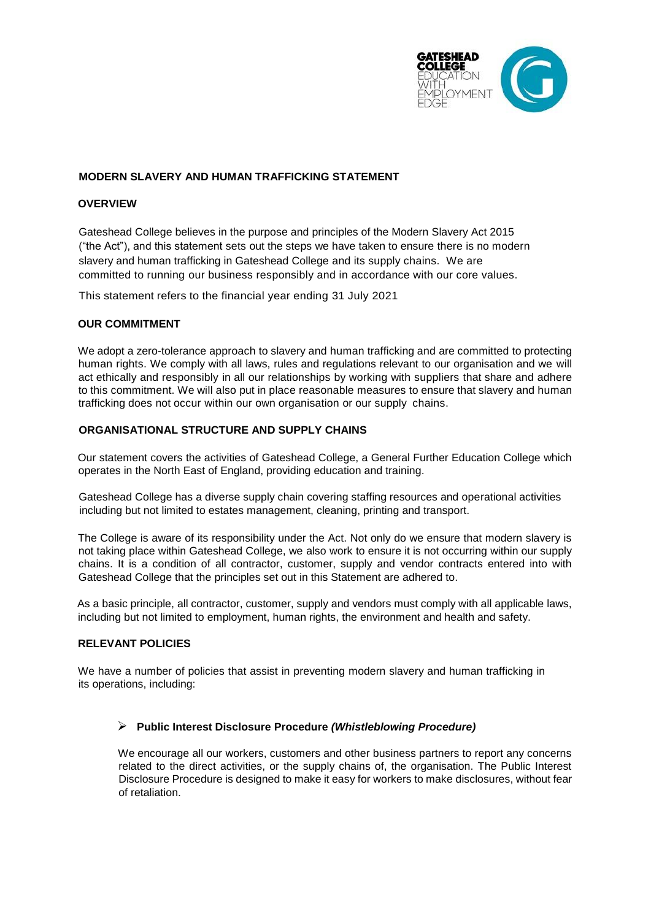

### **MODERN SLAVERY AND HUMAN TRAFFICKING STATEMENT**

#### **OVERVIEW**

Gateshead College believes in the purpose and principles of the Modern Slavery Act 2015 ("the Act"), and this statement sets out the steps we have taken to ensure there is no modern slavery and human trafficking in Gateshead College and its supply chains. We are committed to running our business responsibly and in accordance with our core values.

This statement refers to the financial year ending 31 July 2021

#### **OUR COMMITMENT**

We adopt a zero-tolerance approach to slavery and human trafficking and are committed to protecting human rights. We comply with all laws, rules and regulations relevant to our organisation and we will act ethically and responsibly in all our relationships by working with suppliers that share and adhere to this commitment. We will also put in place reasonable measures to ensure that slavery and human trafficking does not occur within our own organisation or our supply chains.

#### **ORGANISATIONAL STRUCTURE AND SUPPLY CHAINS**

Our statement covers the activities of Gateshead College, a General Further Education College which operates in the North East of England, providing education and training.

Gateshead College has a diverse supply chain covering staffing resources and operational activities including but not limited to estates management, cleaning, printing and transport.

The College is aware of its responsibility under the Act. Not only do we ensure that modern slavery is not taking place within Gateshead College, we also work to ensure it is not occurring within our supply chains. It is a condition of all contractor, customer, supply and vendor contracts entered into with Gateshead College that the principles set out in this Statement are adhered to.

As a basic principle, all contractor, customer, supply and vendors must comply with all applicable laws, including but not limited to employment, human rights, the environment and health and safety.

#### **RELEVANT POLICIES**

We have a number of policies that assist in preventing modern slavery and human trafficking in its operations, including:

#### ➢ **Public Interest Disclosure Procedure** *(Whistleblowing Procedure)*

We encourage all our workers, customers and other business partners to report any concerns related to the direct activities, or the supply chains of, the organisation. The Public Interest Disclosure Procedure is designed to make it easy for workers to make disclosures, without fear of retaliation.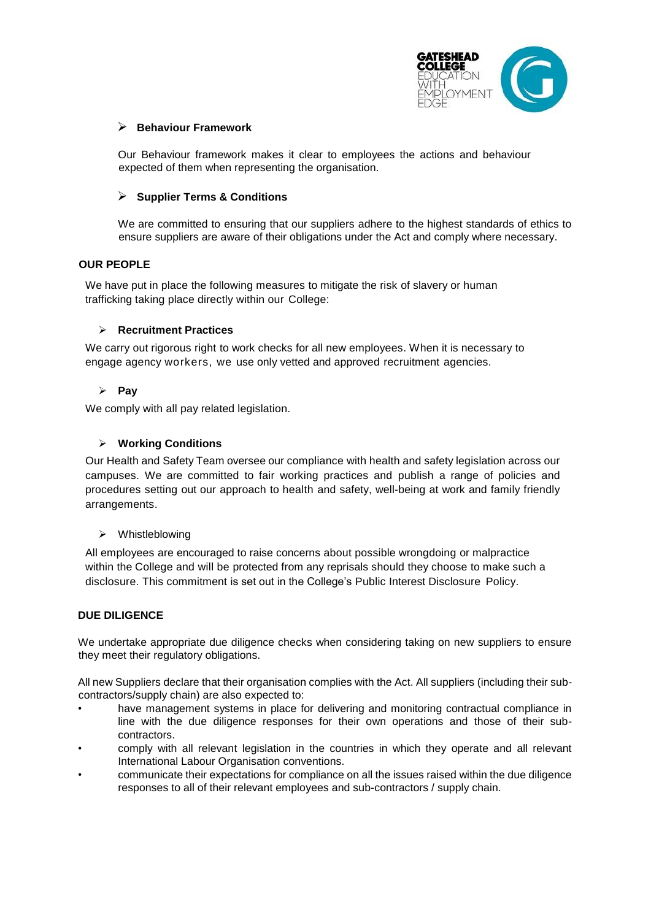

### ➢ **Behaviour Framework**

Our Behaviour framework makes it clear to employees the actions and behaviour expected of them when representing the organisation.

### ➢ **Supplier Terms & Conditions**

We are committed to ensuring that our suppliers adhere to the highest standards of ethics to ensure suppliers are aware of their obligations under the Act and comply where necessary.

#### **OUR PEOPLE**

We have put in place the following measures to mitigate the risk of slavery or human trafficking taking place directly within our College:

#### ➢ **Recruitment Practices**

We carry out rigorous right to work checks for all new employees. When it is necessary to engage agency workers, we use only vetted and approved recruitment agencies.

# ➢ **Pay**

We comply with all pay related legislation.

### ➢ **Working Conditions**

Our Health and Safety Team oversee our compliance with health and safety legislation across our campuses. We are committed to fair working practices and publish a range of policies and procedures setting out our approach to health and safety, well-being at work and family friendly arrangements.

#### ➢ Whistleblowing

All employees are encouraged to raise concerns about possible wrongdoing or malpractice within the College and will be protected from any reprisals should they choose to make such a disclosure. This commitment is set out in the College's Public Interest Disclosure Policy.

## **DUE DILIGENCE**

We undertake appropriate due diligence checks when considering taking on new suppliers to ensure they meet their regulatory obligations.

All new Suppliers declare that their organisation complies with the Act. All suppliers (including their subcontractors/supply chain) are also expected to:

- have management systems in place for delivering and monitoring contractual compliance in line with the due diligence responses for their own operations and those of their subcontractors.
- comply with all relevant legislation in the countries in which they operate and all relevant International Labour Organisation conventions.
- communicate their expectations for compliance on all the issues raised within the due diligence responses to all of their relevant employees and sub-contractors / supply chain.